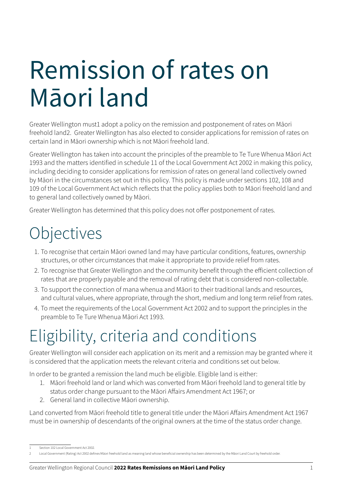# Remission of rates on Māori land

Greater Wellington must1 adopt a policy on the remission and postponement of rates on Māori freehold land2. Greater Wellington has also elected to consider applications for remission of rates on certain land in Māori ownership which is not Māori freehold land.

Greater Wellington has taken into account the principles of the preamble to Te Ture Whenua Māori Act 1993 and the matters identified in schedule 11 of the Local Government Act 2002 in making this policy, including deciding to consider applications for remission of rates on general land collectively owned by Māori in the circumstances set out in this policy. This policy is made under sections 102, 108 and 109 of the Local Government Act which reflects that the policy applies both to Māori freehold land and to general land collectively owned by Māori.

Greater Wellington has determined that this policy does not offer postponement of rates.

### **Objectives**

- 1. To recognise that certain Māori owned land may have particular conditions, features, ownership structures, or other circumstances that make it appropriate to provide relief from rates.
- 2. To recognise that Greater Wellington and the community benefit through the efficient collection of rates that are properly payable and the removal of rating debt that is considered non-collectable.
- 3. To support the connection of mana whenua and Māori to their traditional lands and resources, and cultural values, where appropriate, through the short, medium and long term relief from rates.
- 4. To meet the requirements of the Local Government Act 2002 and to support the principles in the preamble to Te Ture Whenua Māori Act 1993.

## Eligibility, criteria and conditions

Greater Wellington will consider each application on its merit and a remission may be granted where it is considered that the application meets the relevant criteria and conditions set out below.

In order to be granted a remission the land much be eligible. Eligible land is either:

- 1. Māori freehold land or land which was converted from Māori freehold land to general title by status order change pursuant to the Māori Affairs Amendment Act 1967; or
- 2. General land in collective Māori ownership.

Land converted from Māori freehold title to general title under the Māori Affairs Amendment Act 1967 must be in ownership of descendants of the original owners at the time of the status order change.

<sup>1</sup> Section 102 Local Government Act 2002.

<sup>2</sup> Local Government (Rating) Act 2002 defines Māori freehold land as meaning land whose beneficial ownership has been determined by the Māori Land Court by freehold order.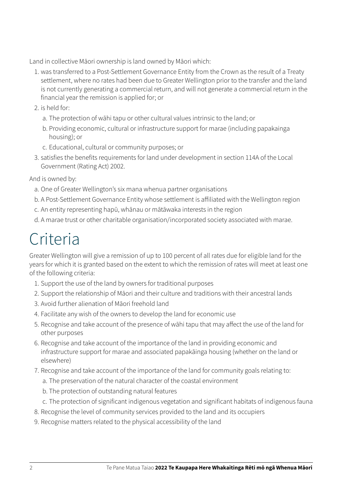Land in collective Māori ownership is land owned by Māori which:

- 1. was transferred to a Post-Settlement Governance Entity from the Crown as the result of a Treaty settlement, where no rates had been due to Greater Wellington prior to the transfer and the land is not currently generating a commercial return, and will not generate a commercial return in the financial year the remission is applied for; or
- 2. is held for:
	- a. The protection of wāhi tapu or other cultural values intrinsic to the land; or
	- b. Providing economic, cultural or infrastructure support for marae (including papakainga housing); or
	- c. Educational, cultural or community purposes; or
- 3. satisfies the benefits requirements for land under development in section 114A of the Local Government (Rating Act) 2002.

And is owned by:

- a. One of Greater Wellington's six mana whenua partner organisations
- b. A Post-Settlement Governance Entity whose settlement is affiliated with the Wellington region
- c. An entity representing hapū, whānau or mātāwaka interests in the region
- d. A marae trust or other charitable organisation/incorporated society associated with marae.

#### Criteria

Greater Wellington will give a remission of up to 100 percent of all rates due for eligible land for the years for which it is granted based on the extent to which the remission of rates will meet at least one of the following criteria:

- 1. Support the use of the land by owners for traditional purposes
- 2. Support the relationship of Māori and their culture and traditions with their ancestral lands
- 3. Avoid further alienation of Māori freehold land
- 4. Facilitate any wish of the owners to develop the land for economic use
- 5. Recognise and take account of the presence of wāhi tapu that may affect the use of the land for other purposes
- 6. Recognise and take account of the importance of the land in providing economic and infrastructure support for marae and associated papakāinga housing (whether on the land or elsewhere)
- 7. Recognise and take account of the importance of the land for community goals relating to:
	- a. The preservation of the natural character of the coastal environment
	- b. The protection of outstanding natural features
	- c. The protection of significant indigenous vegetation and significant habitats of indigenous fauna
- 8. Recognise the level of community services provided to the land and its occupiers
- 9. Recognise matters related to the physical accessibility of the land